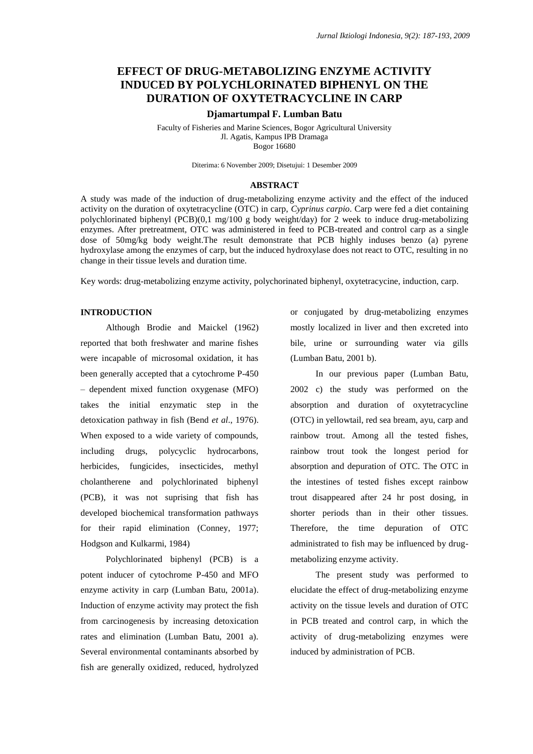# **EFFECT OF DRUG-METABOLIZING ENZYME ACTIVITY INDUCED BY POLYCHLORINATED BIPHENYL ON THE DURATION OF OXYTETRACYCLINE IN CARP**

### **Djamartumpal F. Lumban Batu**

Faculty of Fisheries and Marine Sciences, Bogor Agricultural University Jl. Agatis, Kampus IPB Dramaga Bogor 16680

Diterima: 6 November 2009; Disetujui: 1 Desember 2009

## **ABSTRACT**

A study was made of the induction of drug-metabolizing enzyme activity and the effect of the induced activity on the duration of oxytetracycline (OTC) in carp, *Cyprinus carpio*. Carp were fed a diet containing polychlorinated biphenyl (PCB)(0,1 mg/100 g body weight/day) for 2 week to induce drug-metabolizing enzymes. After pretreatment, OTC was administered in feed to PCB-treated and control carp as a single dose of 50mg/kg body weight.The result demonstrate that PCB highly induses benzo (a) pyrene hydroxylase among the enzymes of carp, but the induced hydroxylase does not react to OTC, resulting in no change in their tissue levels and duration time.

Key words: drug-metabolizing enzyme activity, polychorinated biphenyl, oxytetracycine, induction, carp.

### **INTRODUCTION**

Although Brodie and Maickel (1962) reported that both freshwater and marine fishes were incapable of microsomal oxidation, it has been generally accepted that a cytochrome P-450 – dependent mixed function oxygenase (MFO) takes the initial enzymatic step in the detoxication pathway in fish (Bend *et al*., 1976). When exposed to a wide variety of compounds, including drugs, polycyclic hydrocarbons, herbicides, fungicides, insecticides, methyl cholantherene and polychlorinated biphenyl (PCB), it was not suprising that fish has developed biochemical transformation pathways for their rapid elimination (Conney, 1977; Hodgson and Kulkarmi, 1984)

Polychlorinated biphenyl (PCB) is a potent inducer of cytochrome P-450 and MFO enzyme activity in carp (Lumban Batu, 2001a). Induction of enzyme activity may protect the fish from carcinogenesis by increasing detoxication rates and elimination (Lumban Batu, 2001 a). Several environmental contaminants absorbed by fish are generally oxidized, reduced, hydrolyzed

or conjugated by drug-metabolizing enzymes mostly localized in liver and then excreted into bile, urine or surrounding water via gills (Lumban Batu, 2001 b).

In our previous paper (Lumban Batu, 2002 c) the study was performed on the absorption and duration of oxytetracycline (OTC) in yellowtail, red sea bream, ayu, carp and rainbow trout. Among all the tested fishes, rainbow trout took the longest period for absorption and depuration of OTC. The OTC in the intestines of tested fishes except rainbow trout disappeared after 24 hr post dosing, in shorter periods than in their other tissues. Therefore, the time depuration of OTC administrated to fish may be influenced by drugmetabolizing enzyme activity.

The present study was performed to elucidate the effect of drug-metabolizing enzyme activity on the tissue levels and duration of OTC in PCB treated and control carp, in which the activity of drug-metabolizing enzymes were induced by administration of PCB.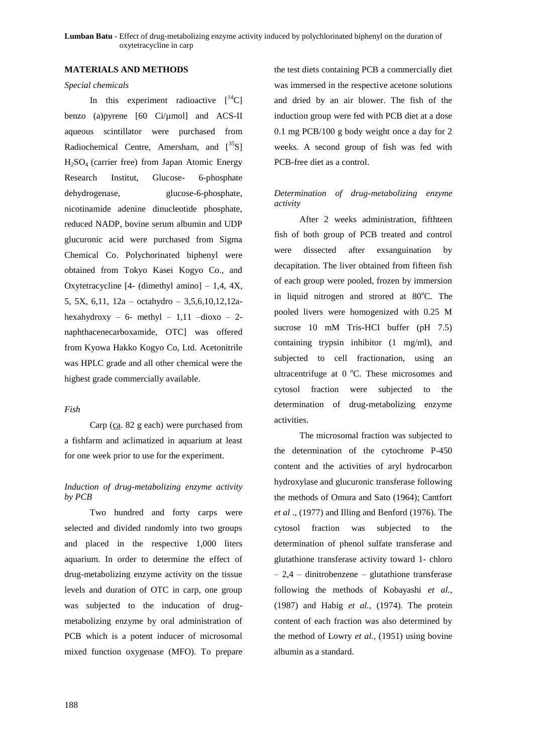**Lumban Batu** - Effect of drug-metabolizing enzyme activity induced by polychlorinated biphenyl on the duration of oxytetracycline in carp

#### **MATERIALS AND METHODS**

### *Special chemicals*

In this experiment radioactive  $[14C]$ benzo (a)pyrene [60 Ci/µmol] and ACS-II aqueous scintillator were purchased from Radiochemical Centre, Amersham, and  $\left[35\right]$  $H_2SO_4$  (carrier free) from Japan Atomic Energy Research Institut, Glucose- 6-phosphate dehydrogenase, glucose-6-phosphate, nicotinamide adenine dinucleotide phosphate, reduced NADP, bovine serum albumin and UDP glucuronic acid were purchased from Sigma Chemical Co. Polychorinated biphenyl were obtained from Tokyo Kasei Kogyo Co., and Oxytetracycline  $[4-$  (dimethyl amino]  $-1,4, 4X$ , 5, 5X, 6,11, 12a – octahydro – 3,5,6,10,12,12ahexahydroxy – 6- methyl –  $1,11$  –dioxo – 2naphthacenecarboxamide, OTC] was offered from Kyowa Hakko Kogyo Co, Ltd. Acetonitrile was HPLC grade and all other chemical were the highest grade commercially available.

### *Fish*

Carp (ca. 82 g each) were purchased from a fishfarm and aclimatized in aquarium at least for one week prior to use for the experiment.

### *Induction of drug-metabolizing enzyme activity by PCB*

Two hundred and forty carps were selected and divided randomly into two groups and placed in the respective 1,000 liters aquarium. In order to determine the effect of drug-metabolizing enzyme activity on the tissue levels and duration of OTC in carp, one group was subjected to the inducation of drugmetabolizing enzyme by oral administration of PCB which is a potent inducer of microsomal mixed function oxygenase (MFO). To prepare

the test diets containing PCB a commercially diet was immersed in the respective acetone solutions and dried by an air blower. The fish of the induction group were fed with PCB diet at a dose 0.1 mg PCB/100 g body weight once a day for 2 weeks. A second group of fish was fed with PCB-free diet as a control.

# *Determination of drug-metabolizing enzyme activity*

After 2 weeks administration, fifthteen fish of both group of PCB treated and control were dissected after exsanguination by decapitation. The liver obtained from fifteen fish of each group were pooled, frozen by immersion in liquid nitrogen and strored at  $80^{\circ}$ C. The pooled livers were homogenized with 0.25 M sucrose 10 mM Tris-HCI buffer (pH 7.5) containing trypsin inhibitor (1 mg/ml), and subjected to cell fractionation, using an ultracentrifuge at  $0^{\circ}$ C. These microsomes and cytosol fraction were subjected to the determination of drug-metabolizing enzyme activities.

The microsomal fraction was subjected to the determination of the cytochrome P-450 content and the activities of aryl hydrocarbon hydroxylase and glucuronic transferase following the methods of Omura and Sato (1964); Cantfort *et al* ., (1977) and Illing and Benford (1976). The cytosol fraction was subjected to the determination of phenol sulfate transferase and glutathione transferase activity toward 1- chloro – 2,4 – dinitrobenzene – glutathione transferase following the methods of Kobayashi *et al.,*  (1987) and Habig *et al.,* (1974). The protein content of each fraction was also determined by the method of Lowry *et al.,* (1951) using bovine albumin as a standard.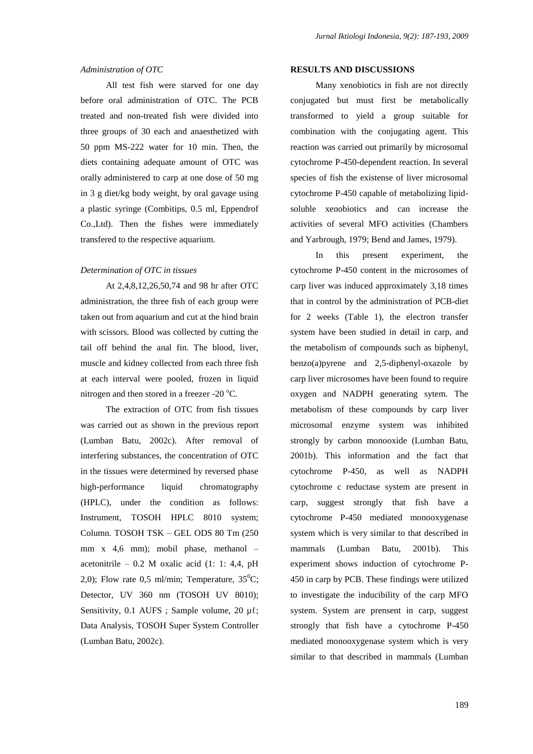### *Administration of OTC*

All test fish were starved for one day before oral administration of OTC. The PCB treated and non-treated fish were divided into three groups of 30 each and anaesthetized with 50 ppm MS-222 water for 10 min. Then, the diets containing adequate amount of OTC was orally administered to carp at one dose of 50 mg in 3 g diet/kg body weight, by oral gavage using a plastic syringe (Combitips, 0.5 ml, Eppendrof Co.,Ltd). Then the fishes were immediately transfered to the respective aquarium.

### *Determination of OTC in tissues*

At 2,4,8,12,26,50,74 and 98 hr after OTC administration, the three fish of each group were taken out from aquarium and cut at the hind brain with scissors. Blood was collected by cutting the tail off behind the anal fin. The blood, liver, muscle and kidney collected from each three fish at each interval were pooled, frozen in liquid nitrogen and then stored in a freezer -20  $^{\circ}$ C.

The extraction of OTC from fish tissues was carried out as shown in the previous report (Lumban Batu, 2002c). After removal of interfering substances, the concentration of OTC in the tissues were determined by reversed phase high-performance liquid chromatography (HPLC), under the condition as follows: Instrument, TOSOH HPLC 8010 system; Column. TOSOH TSK – GEL ODS 80 Tm (250 mm x 4,6 mm); mobil phase, methanol – acetonitrile – 0.2 M oxalic acid  $(1: 1: 4.4, pH)$ 2,0); Flow rate 0,5 ml/min; Temperature,  $35^{\circ}$ C; Detector, UV 360 nm (TOSOH UV 8010); Sensitivity, 0.1 AUFS ; Sample volume, 20  $\mu$ l; Data Analysis, TOSOH Super System Controller (Lumban Batu, 2002c).

### **RESULTS AND DISCUSSIONS**

Many xenobiotics in fish are not directly conjugated but must first be metabolically transformed to yield a group suitable for combination with the conjugating agent. This reaction was carried out primarily by microsomal cytochrome P-450-dependent reaction. In several species of fish the existense of liver microsomal cytochrome P-450 capable of metabolizing lipidsoluble xenobiotics and can increase the activities of several MFO activities (Chambers and Yarbrough, 1979; Bend and James, 1979).

In this present experiment, the cytochrome P-450 content in the microsomes of carp liver was induced approximately 3,18 times that in control by the administration of PCB-diet for 2 weeks (Table 1), the electron transfer system have been studied in detail in carp, and the metabolism of compounds such as biphenyl, benzo(a)pyrene and 2,5-diphenyl-oxazole by carp liver microsomes have been found to require oxygen and NADPH generating sytem. The metabolism of these compounds by carp liver microsomal enzyme system was inhibited strongly by carbon monooxide (Lumban Batu, 2001b). This information and the fact that cytochrome P-450, as well as NADPH cytochrome c reductase system are present in carp, suggest strongly that fish have a cytochrome P-450 mediated monooxygenase system which is very similar to that described in mammals (Lumban Batu, 2001b). This experiment shows induction of cytochrome P-450 in carp by PCB. These findings were utilized to investigate the inducibility of the carp MFO system. System are prensent in carp, suggest strongly that fish have a cytochrome P-450 mediated monooxygenase system which is very similar to that described in mammals (Lumban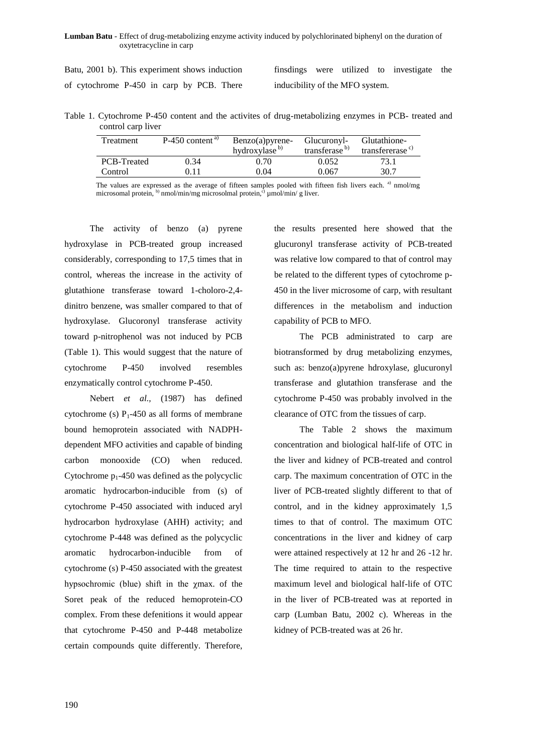**Lumban Batu** - Effect of drug-metabolizing enzyme activity induced by polychlorinated biphenyl on the duration of oxytetracycline in carp

Batu, 2001 b). This experiment shows induction of cytochrome P-450 in carp by PCB. There

finsdings were utilized to investigate the inducibility of the MFO system.

Table 1. Cytochrome P-450 content and the activites of drug-metabolizing enzymes in PCB- treated and control carp liver

| Treatment   | $P-450$ content <sup>a)</sup> | $Benzo(a)pyrene-$         | Glucuronyl-               | Glutathione-                |
|-------------|-------------------------------|---------------------------|---------------------------|-----------------------------|
|             |                               | hydroxylase <sup>b)</sup> | transferase <sup>b)</sup> | transfererase <sup>c)</sup> |
| PCB-Treated | 0.34                          | 0.70                      | 0.052                     | 73.1                        |
| Control     | D. 1 1                        | 0.04                      | 0.067                     | 30.7                        |

The values are expressed as the average of fifteen samples pooled with fifteen fish livers each. a) nmol/mg microsomal protein,  $\phi$ ) nmol/min/mg microsolmal protein, $\dot{\phi}$  µmol/min/ g liver.

The activity of benzo (a) pyrene hydroxylase in PCB-treated group increased considerably, corresponding to 17,5 times that in control, whereas the increase in the activity of glutathione transferase toward 1-choloro-2,4 dinitro benzene, was smaller compared to that of hydroxylase. Glucoronyl transferase activity toward p-nitrophenol was not induced by PCB (Table 1). This would suggest that the nature of cytochrome P-450 involved resembles enzymatically control cytochrome P-450.

Nebert *et al.,* (1987) has defined cytochrome (s)  $P_1$ -450 as all forms of membrane bound hemoprotein associated with NADPHdependent MFO activities and capable of binding carbon monooxide (CO) when reduced. Cytochrome  $p_1-450$  was defined as the polycyclic aromatic hydrocarbon-inducible from (s) of cytochrome P-450 associated with induced aryl hydrocarbon hydroxylase (AHH) activity; and cytochrome P-448 was defined as the polycyclic aromatic hydrocarbon-inducible from of cytochrome (s) P-450 associated with the greatest hypsochromic (blue) shift in the χmax. of the Soret peak of the reduced hemoprotein-CO complex. From these defenitions it would appear that cytochrome P-450 and P-448 metabolize certain compounds quite differently. Therefore,

the results presented here showed that the glucuronyl transferase activity of PCB-treated was relative low compared to that of control may be related to the different types of cytochrome p-450 in the liver microsome of carp, with resultant differences in the metabolism and induction capability of PCB to MFO.

The PCB administrated to carp are biotransformed by drug metabolizing enzymes, such as: benzo(a)pyrene hdroxylase, glucuronyl transferase and glutathion transferase and the cytochrome P-450 was probably involved in the clearance of OTC from the tissues of carp.

The Table 2 shows the maximum concentration and biological half-life of OTC in the liver and kidney of PCB-treated and control carp. The maximum concentration of OTC in the liver of PCB-treated slightly different to that of control, and in the kidney approximately 1,5 times to that of control. The maximum OTC concentrations in the liver and kidney of carp were attained respectively at 12 hr and 26 -12 hr. The time required to attain to the respective maximum level and biological half-life of OTC in the liver of PCB-treated was at reported in carp (Lumban Batu, 2002 c). Whereas in the kidney of PCB-treated was at 26 hr.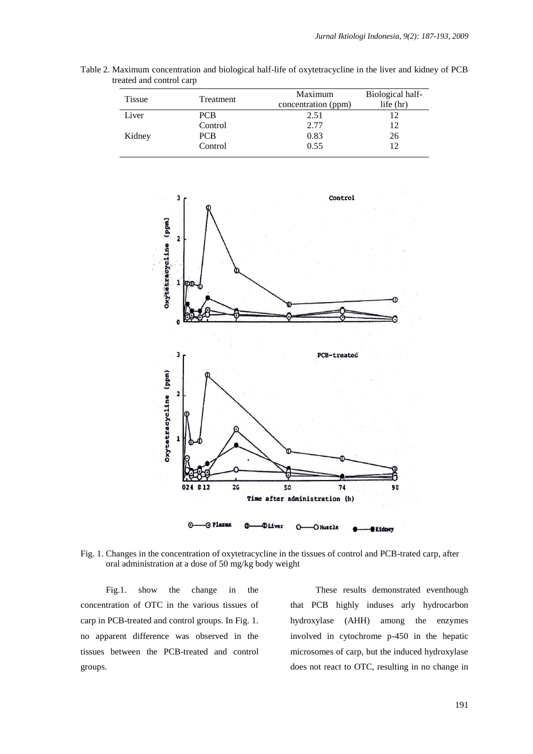| <b>Tissue</b> | Treatment  | Maximum<br>concentration (ppm) | Biological half-<br>life $(hr)$ |
|---------------|------------|--------------------------------|---------------------------------|
| Liver         | <b>PCB</b> | 2.51                           | 12                              |
|               | Control    | 2.77                           | 12                              |
| Kidney        | <b>PCB</b> | 0.83                           | 26                              |
|               | Control    | 0.55                           | 12                              |

Table 2. Maximum concentration and biological half-life of oxytetracycline in the liver and kidney of PCB treated and control carp



Fig. 1. Changes in the concentration of oxytetracycline in the tissues of control and PCB-trated carp, after oral administration at a dose of 50 mg/kg body weight

Fig.1. show the change in the concentration of OTC in the various tissues of carp in PCB-treated and control groups. In Fig. 1. no apparent difference was observed in the tissues between the PCB-treated and control groups.

These results demonstrated eventhough that PCB highly induses arly hydrocarbon hydroxylase (AHH) among the enzymes involved in cytochrome p-450 in the hepatic microsomes of carp, but the induced hydroxylase does not react to OTC, resulting in no change in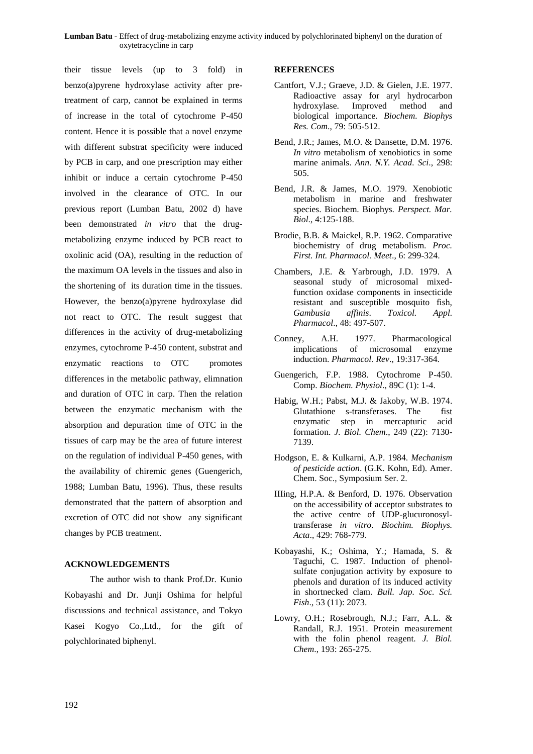### **Lumban Batu** - Effect of drug-metabolizing enzyme activity induced by polychlorinated biphenyl on the duration of oxytetracycline in carp

their tissue levels (up to 3 fold) in benzo(a)pyrene hydroxylase activity after pretreatment of carp, cannot be explained in terms of increase in the total of cytochrome P-450 content. Hence it is possible that a novel enzyme with different substrat specificity were induced by PCB in carp, and one prescription may either inhibit or induce a certain cytochrome P-450 involved in the clearance of OTC. In our previous report (Lumban Batu, 2002 d) have been demonstrated *in vitro* that the drugmetabolizing enzyme induced by PCB react to oxolinic acid (OA), resulting in the reduction of the maximum OA levels in the tissues and also in the shortening of its duration time in the tissues. However, the benzo(a)pyrene hydroxylase did not react to OTC. The result suggest that differences in the activity of drug-metabolizing enzymes, cytochrome P-450 content, substrat and enzymatic reactions to OTC promotes differences in the metabolic pathway, elimnation and duration of OTC in carp. Then the relation between the enzymatic mechanism with the absorption and depuration time of OTC in the tissues of carp may be the area of future interest on the regulation of individual P-450 genes, with the availability of chiremic genes (Guengerich, 1988; Lumban Batu, 1996). Thus, these results demonstrated that the pattern of absorption and excretion of OTC did not show any significant changes by PCB treatment.

### **ACKNOWLEDGEMENTS**

The author wish to thank Prof.Dr. Kunio Kobayashi and Dr. Junji Oshima for helpful discussions and technical assistance, and Tokyo Kasei Kogyo Co.,Ltd., for the gift of polychlorinated biphenyl.

#### **REFERENCES**

- Cantfort, V.J.; Graeve, J.D. & Gielen, J.E. 1977. Radioactive assay for aryl hydrocarbon hydroxylase. Improved method and biological importance. *Biochem. Biophys Res. Com*., 79: 505-512.
- Bend, J.R.; James, M.O. & Dansette, D.M. 1976. *In vitro* metabolism of xenobiotics in some marine animals. *Ann. N.Y. Acad. Sci*., 298: 505.
- Bend, J.R. & James, M.O. 1979. Xenobiotic metabolism in marine and freshwater species. Biochem. Biophys. *Perspect. Mar. Biol*., 4:125-188.
- Brodie, B.B. & Maickel, R.P. 1962. Comparative biochemistry of drug metabolism. *Proc. First. Int. Pharmacol. Meet*., 6: 299-324.
- Chambers, J.E. & Yarbrough, J.D. 1979. A seasonal study of microsomal mixedfunction oxidase components in insecticide resistant and susceptible mosquito fish, *Gambusia affinis*. *Toxicol. Appl. Pharmacol*., 48: 497-507.
- Conney, A.H. 1977. Pharmacological implications of microsomal enzyme induction. *Pharmacol. Rev*., 19:317-364.
- Guengerich, F.P. 1988. Cytochrome P-450. Comp. *Biochem. Physiol*., 89C (1): 1-4.
- Habig, W.H.; Pabst, M.J. & Jakoby, W.B. 1974. Glutathione s-transferases. The fist enzymatic step in mercapturic acid formation. *J. Biol. Chem*., 249 (22): 7130- 7139.
- Hodgson, E. & Kulkarni, A.P. 1984. *Mechanism of pesticide action*. (G.K. Kohn, Ed). Amer. Chem. Soc., Symposium Ser. 2.
- IIIing, H.P.A. & Benford, D. 1976. Observation on the accessibility of acceptor substrates to the active centre of UDP-glucuronosyltransferase *in vitro*. *Biochim. Biophys. Acta*., 429: 768-779.
- Kobayashi, K.; Oshima, Y.; Hamada, S. & Taguchi, C. 1987. Induction of phenolsulfate conjugation activity by exposure to phenols and duration of its induced activity in shortnecked clam. *Bull. Jap. Soc. Sci. Fish*., 53 (11): 2073.
- Lowry, O.H.; Rosebrough, N.J.; Farr, A.L. & Randall, R.J. 1951. Protein measurement with the folin phenol reagent. *J. Biol. Chem*., 193: 265-275.